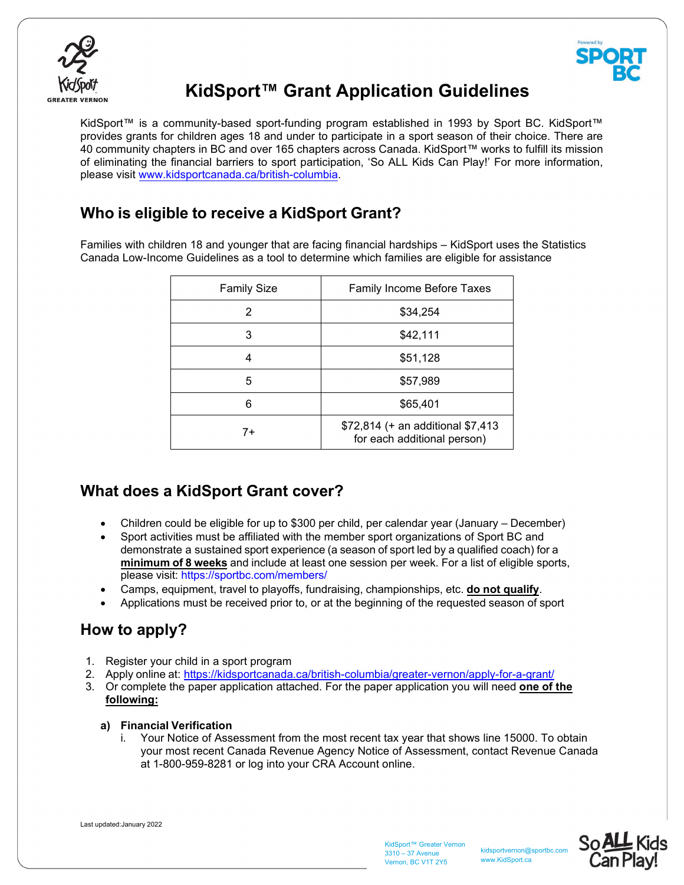



# **KidSport™ Grant Application Guidelines**

KidSport™ is a community-based sport-funding program established in 1993 by Sport BC. KidSport™ provides grants for children ages 18 and under to participate in a sport season of their choice. There are 40 community chapters in BC and over 165 chapters across Canada. KidSport™ works to fulfill its mission of eliminating the financial barriers to sport participation, 'So ALL Kids Can Play!' For more information, please visit www.kidsportcanada.ca/british-columbia.

## **Who is eligible to receive a KidSport Grant?**

Families with children 18 and younger that are facing financial hardships – KidSport uses the Statistics Canada Low-Income Guidelines as a tool to determine which families are eligible for assistance

| <b>Family Size</b> | <b>Family Income Before Taxes</b>                                |
|--------------------|------------------------------------------------------------------|
| 2                  | \$34,254                                                         |
| 3                  | \$42,111                                                         |
|                    | \$51,128                                                         |
| 5                  | \$57,989                                                         |
| 6                  | \$65,401                                                         |
| $7+$               | \$72,814 (+ an additional \$7,413<br>for each additional person) |

## **What does a KidSport Grant cover?**

- Children could be eligible for up to \$300 per child, per calendar year (January December)
- Sport activities must be affiliated with the member sport organizations of Sport BC and demonstrate a sustained sport experience (a season of sport led by a qualified coach) for a **minimum of 8 weeks** and include at least one session per week. For a list of eligible sports, please visit: https://sportbc.com/members/
- Camps, equipment, travel to playoffs, fundraising, championships, etc. **do not qualify**.
- Applications must be received prior to, or at the beginning of the requested season of sport

# **How to apply?**

- 1. Register your child in a sport program
- 2. Apply online at: https://kidsportcanada.ca/british-columbia/greater-vernon/apply-for-a-grant/
- 3. Or complete the paper application attached. For the paper application you will need **one of the following:**

## **a) Financial Verification**

Your Notice of Assessment from the most recent tax year that shows line 15000. To obtain your most recent Canada Revenue Agency Notice of Assessment, contact Revenue Canada at 1-800-959-8281 or log into your CRA Account online.

Last updated:January 2022

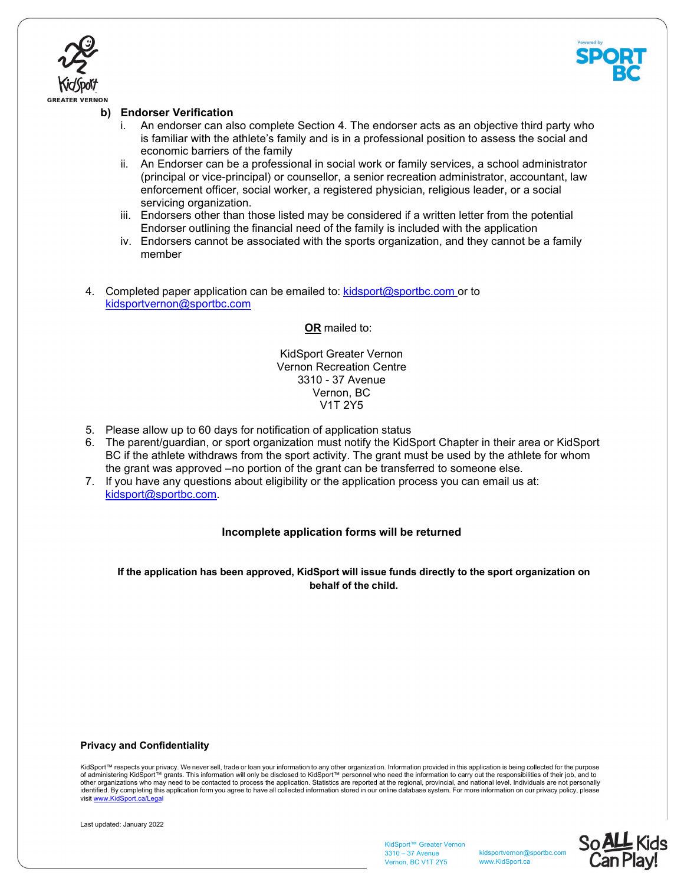



## **b) Endorser Verification**

- i. An endorser can also complete Section 4. The endorser acts as an objective third party who is familiar with the athlete's family and is in a professional position to assess the social and economic barriers of the family
- ii. An Endorser can be a professional in social work or family services, a school administrator (principal or vice-principal) or counsellor, a senior recreation administrator, accountant, law enforcement officer, social worker, a registered physician, religious leader, or a social servicing organization.
- iii. Endorsers other than those listed may be considered if a written letter from the potential Endorser outlining the financial need of the family is included with the application
- iv. Endorsers cannot be associated with the sports organization, and they cannot be a family member
- 4. Completed paper application can be emailed to: kidsport@sportbc.com or to kidsportvernon@sportbc.com

**OR** mailed to:

KidSport Greater Vernon Vernon Recreation Centre 3310 - 37 Avenue Vernon, BC V1T 2Y5

- 5. Please allow up to 60 days for notification of application status
- 6. The parent/guardian, or sport organization must notify the KidSport Chapter in their area or KidSport BC if the athlete withdraws from the sport activity. The grant must be used by the athlete for whom the grant was approved – no portion of the grant can be transferred to someone else.
- 7. If you have any questions about eligibility or the application process you can email us at: kidsport@sportbc.com.

### **Incomplete application forms will be returned**

**If the application has been approved, KidSport will issue funds directly to the sport organization on behalf of the child.**

#### **Privacy and Confidentiality**

KidSport™ respects your privacy. We never sell, trade or loan your information to any other organization. Information provided in this application is being collected for the purpose of administering KidSport™ grants. This information will only be disclosed to KidSport™ personnel who need the information to carry out the responsibilities of their job, and to<br>other organizations who may need to be cont visit www.KidSport.ca/Le



KidSport™ Greater Vernon 3310 – 37 Avenue Vernon, BC V1T 2Y5

kidsportvernon@sportbc.com www.KidSport.ca

So ALL Kids<br>Can Play!